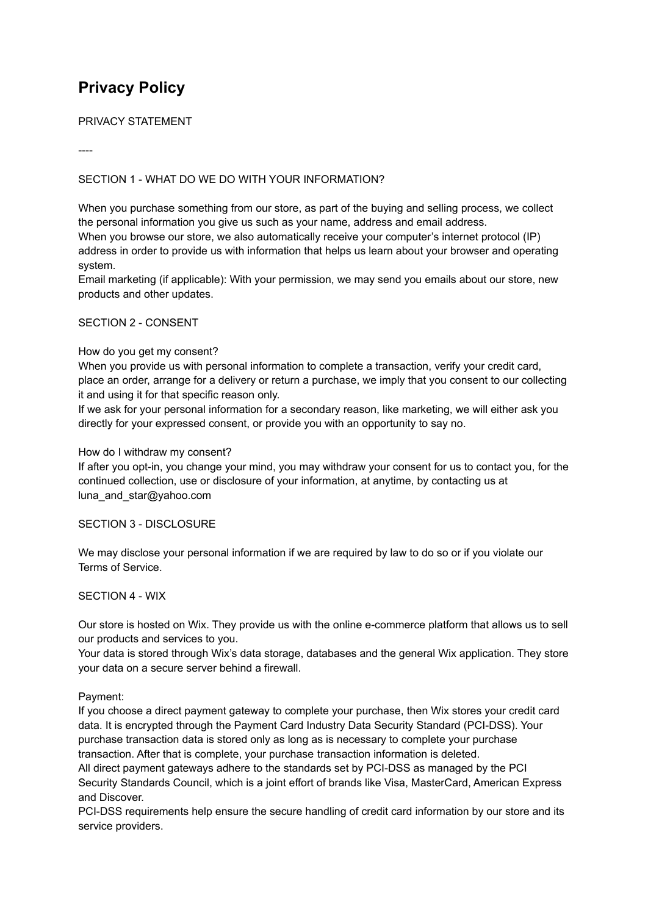# **Privacy Policy**

PRIVACY STATEMENT

----

## SECTION 1 - WHAT DO WE DO WITH YOUR INFORMATION?

When you purchase something from our store, as part of the buying and selling process, we collect the personal information you give us such as your name, address and email address.

When you browse our store, we also automatically receive your computer's internet protocol (IP) address in order to provide us with information that helps us learn about your browser and operating system.

Email marketing (if applicable): With your permission, we may send you emails about our store, new products and other updates.

## SECTION 2 - CONSENT

## How do you get my consent?

When you provide us with personal information to complete a transaction, verify your credit card, place an order, arrange for a delivery or return a purchase, we imply that you consent to our collecting it and using it for that specific reason only.

If we ask for your personal information for a secondary reason, like marketing, we will either ask you directly for your expressed consent, or provide you with an opportunity to say no.

#### How do I withdraw my consent?

If after you opt-in, you change your mind, you may withdraw your consent for us to contact you, for the continued collection, use or disclosure of your information, at anytime, by contacting us at luna and star@yahoo.com

#### SECTION 3 - DISCLOSURE

We may disclose your personal information if we are required by law to do so or if you violate our Terms of Service.

#### SECTION 4 - WIX

Our store is hosted on Wix. They provide us with the online e-commerce platform that allows us to sell our products and services to you.

Your data is stored through Wix's data storage, databases and the general Wix application. They store your data on a secure server behind a firewall.

#### Payment:

If you choose a direct payment gateway to complete your purchase, then Wix stores your credit card data. It is encrypted through the Payment Card Industry Data Security Standard (PCI-DSS). Your purchase transaction data is stored only as long as is necessary to complete your purchase transaction. After that is complete, your purchase transaction information is deleted.

All direct payment gateways adhere to the standards set by PCI-DSS as managed by the PCI Security Standards Council, which is a joint effort of brands like Visa, MasterCard, American Express and Discover.

PCI-DSS requirements help ensure the secure handling of credit card information by our store and its service providers.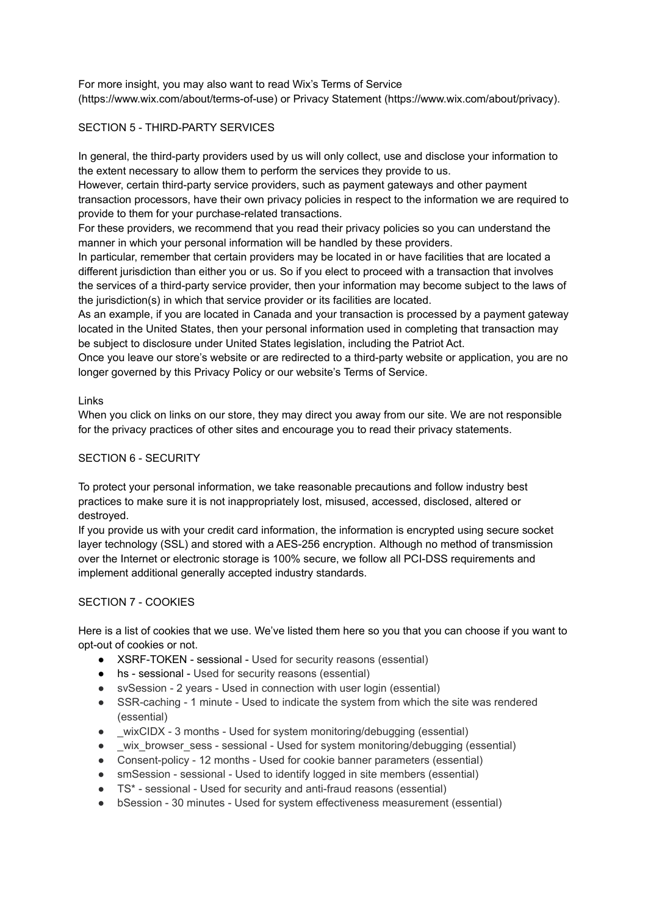For more insight, you may also want to read Wix's Terms of Service (https://www.wix.com/about/terms-of-use) or Privacy Statement (https://www.wix.com/about/privacy).

# SECTION 5 - THIRD-PARTY SERVICES

In general, the third-party providers used by us will only collect, use and disclose your information to the extent necessary to allow them to perform the services they provide to us.

However, certain third-party service providers, such as payment gateways and other payment transaction processors, have their own privacy policies in respect to the information we are required to provide to them for your purchase-related transactions.

For these providers, we recommend that you read their privacy policies so you can understand the manner in which your personal information will be handled by these providers.

In particular, remember that certain providers may be located in or have facilities that are located a different jurisdiction than either you or us. So if you elect to proceed with a transaction that involves the services of a third-party service provider, then your information may become subject to the laws of the jurisdiction(s) in which that service provider or its facilities are located.

As an example, if you are located in Canada and your transaction is processed by a payment gateway located in the United States, then your personal information used in completing that transaction may be subject to disclosure under United States legislation, including the Patriot Act.

Once you leave our store's website or are redirected to a third-party website or application, you are no longer governed by this Privacy Policy or our website's Terms of Service.

## Links

When you click on links on our store, they may direct you away from our site. We are not responsible for the privacy practices of other sites and encourage you to read their privacy statements.

## SECTION 6 - SECURITY

To protect your personal information, we take reasonable precautions and follow industry best practices to make sure it is not inappropriately lost, misused, accessed, disclosed, altered or destroyed.

If you provide us with your credit card information, the information is encrypted using secure socket layer technology (SSL) and stored with a AES-256 encryption. Although no method of transmission over the Internet or electronic storage is 100% secure, we follow all PCI-DSS requirements and implement additional generally accepted industry standards.

# SECTION 7 - COOKIES

Here is a list of cookies that we use. We've listed them here so you that you can choose if you want to opt-out of cookies or not.

- XSRF-TOKEN sessional Used for security reasons (essential)
- hs sessional Used for security reasons (essential)
- svSession 2 years Used in connection with user login (essential)
- SSR-caching 1 minute Used to indicate the system from which the site was rendered (essential)
- wixCIDX 3 months Used for system monitoring/debugging (essential)
- wix browser sess sessional Used for system monitoring/debugging (essential)
- Consent-policy 12 months Used for cookie banner parameters (essential)
- smSession sessional Used to identify logged in site members (essential)
- TS\* sessional Used for security and anti-fraud reasons (essential)
- bSession 30 minutes Used for system effectiveness measurement (essential)